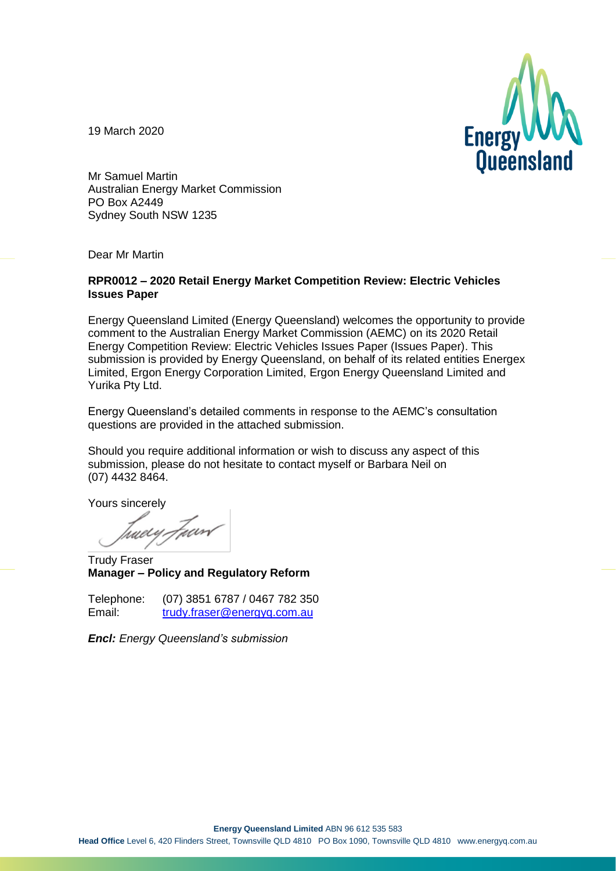

19 March 2020

Mr Samuel Martin Australian Energy Market Commission PO Box A2449 Sydney South NSW 1235

Dear Mr Martin

### **RPR0012 – 2020 Retail Energy Market Competition Review: Electric Vehicles Issues Paper**

Energy Queensland Limited (Energy Queensland) welcomes the opportunity to provide comment to the Australian Energy Market Commission (AEMC) on its 2020 Retail Energy Competition Review: Electric Vehicles Issues Paper (Issues Paper). This submission is provided by Energy Queensland, on behalf of its related entities Energex Limited, Ergon Energy Corporation Limited, Ergon Energy Queensland Limited and Yurika Pty Ltd.

Energy Queensland's detailed comments in response to the AEMC's consultation questions are provided in the attached submission.

Should you require additional information or wish to discuss any aspect of this submission, please do not hesitate to contact myself or Barbara Neil on (07) 4432 8464.

Yours sincerely

Juery Juan

Trudy Fraser **Manager – Policy and Regulatory Reform**

| Telephone: | (07) 3851 6787 / 0467 782 350 |
|------------|-------------------------------|
| Email:     | trudy.fraser@energyq.com.au   |

*Encl: Energy Queensland's submission*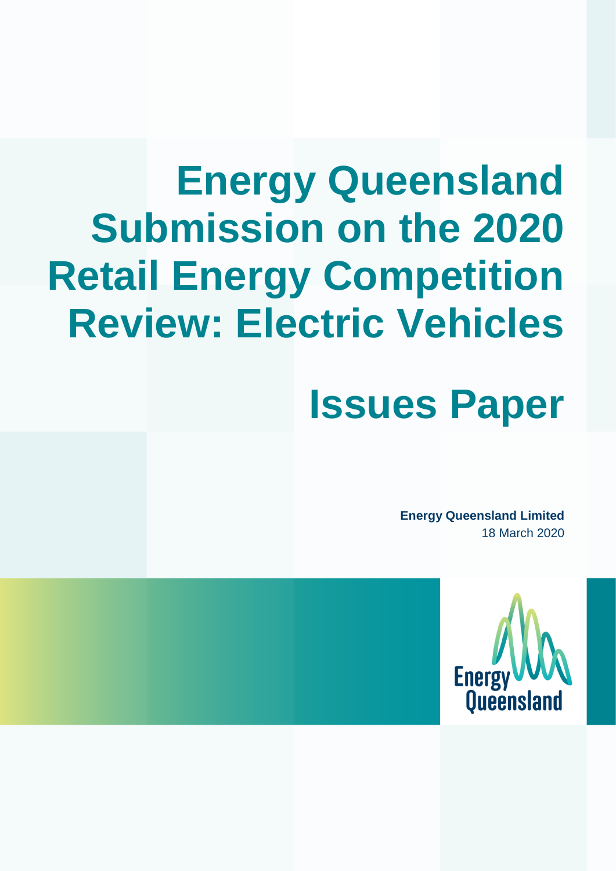# **Energy Queensland Submission on the 2020 Retail Energy Competition Review: Electric Vehicles**

# **Issues Paper**

**Energy Queensland Limited** 18 March 2020

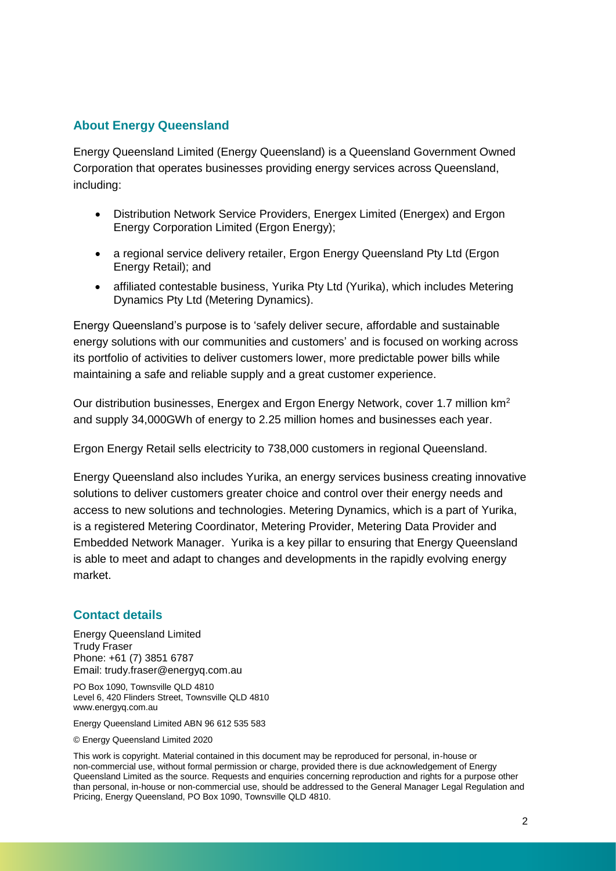## **About Energy Queensland**

Energy Queensland Limited (Energy Queensland) is a Queensland Government Owned Corporation that operates businesses providing energy services across Queensland, including:

- Distribution Network Service Providers, Energex Limited (Energex) and Ergon Energy Corporation Limited (Ergon Energy);
- a regional service delivery retailer, Ergon Energy Queensland Pty Ltd (Ergon Energy Retail); and
- affiliated contestable business, Yurika Pty Ltd (Yurika), which includes Metering Dynamics Pty Ltd (Metering Dynamics).

Energy Queensland's purpose is to 'safely deliver secure, affordable and sustainable energy solutions with our communities and customers' and is focused on working across its portfolio of activities to deliver customers lower, more predictable power bills while maintaining a safe and reliable supply and a great customer experience.

Our distribution businesses, Energex and Ergon Energy Network, cover 1.7 million km<sup>2</sup> and supply 34,000GWh of energy to 2.25 million homes and businesses each year.

Ergon Energy Retail sells electricity to 738,000 customers in regional Queensland.

Energy Queensland also includes Yurika, an energy services business creating innovative solutions to deliver customers greater choice and control over their energy needs and access to new solutions and technologies. Metering Dynamics, which is a part of Yurika, is a registered Metering Coordinator, Metering Provider, Metering Data Provider and Embedded Network Manager. Yurika is a key pillar to ensuring that Energy Queensland is able to meet and adapt to changes and developments in the rapidly evolving energy market.

## **Contact details**

Energy Queensland Limited Trudy Fraser Phone: +61 (7) 3851 6787 Email: trudy.fraser@energyq.com.au

PO Box 1090, Townsville QLD 4810 Level 6, 420 Flinders Street, Townsville QLD 4810 www.energyq.com.au

Energy Queensland Limited ABN 96 612 535 583

© Energy Queensland Limited 2020

This work is copyright. Material contained in this document may be reproduced for personal, in-house or non-commercial use, without formal permission or charge, provided there is due acknowledgement of Energy Queensland Limited as the source. Requests and enquiries concerning reproduction and rights for a purpose other than personal, in-house or non-commercial use, should be addressed to the General Manager Legal Regulation and Pricing, Energy Queensland, PO Box 1090, Townsville QLD 4810.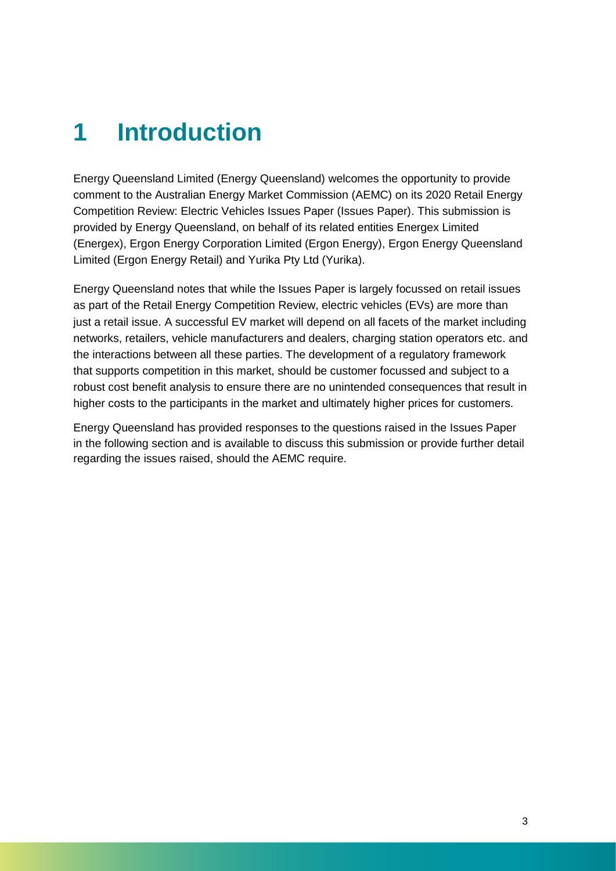# **1 Introduction**

Energy Queensland Limited (Energy Queensland) welcomes the opportunity to provide comment to the Australian Energy Market Commission (AEMC) on its 2020 Retail Energy Competition Review: Electric Vehicles Issues Paper (Issues Paper). This submission is provided by Energy Queensland, on behalf of its related entities Energex Limited (Energex), Ergon Energy Corporation Limited (Ergon Energy), Ergon Energy Queensland Limited (Ergon Energy Retail) and Yurika Pty Ltd (Yurika).

Energy Queensland notes that while the Issues Paper is largely focussed on retail issues as part of the Retail Energy Competition Review, electric vehicles (EVs) are more than just a retail issue. A successful EV market will depend on all facets of the market including networks, retailers, vehicle manufacturers and dealers, charging station operators etc. and the interactions between all these parties. The development of a regulatory framework that supports competition in this market, should be customer focussed and subject to a robust cost benefit analysis to ensure there are no unintended consequences that result in higher costs to the participants in the market and ultimately higher prices for customers.

Energy Queensland has provided responses to the questions raised in the Issues Paper in the following section and is available to discuss this submission or provide further detail regarding the issues raised, should the AEMC require.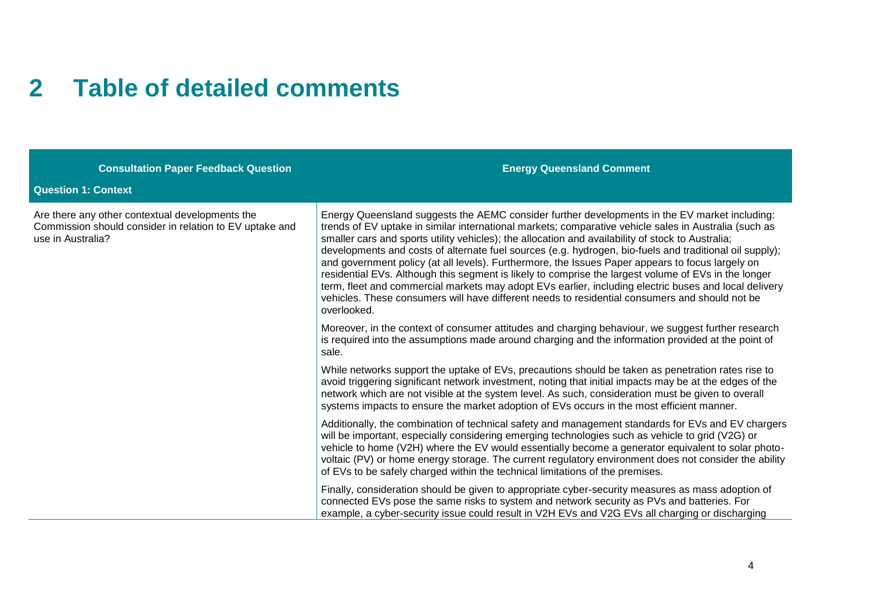# **2 Table of detailed comments**

| <b>Consultation Paper Feedback Question</b>                                                                                     | <b>Energy Queensland Comment</b>                                                                                                                                                                                                                                                                                                                                                                                                                                                                                                                                                                                                                                                                                                                                                                                                                             |
|---------------------------------------------------------------------------------------------------------------------------------|--------------------------------------------------------------------------------------------------------------------------------------------------------------------------------------------------------------------------------------------------------------------------------------------------------------------------------------------------------------------------------------------------------------------------------------------------------------------------------------------------------------------------------------------------------------------------------------------------------------------------------------------------------------------------------------------------------------------------------------------------------------------------------------------------------------------------------------------------------------|
| <b>Question 1: Context</b>                                                                                                      |                                                                                                                                                                                                                                                                                                                                                                                                                                                                                                                                                                                                                                                                                                                                                                                                                                                              |
| Are there any other contextual developments the<br>Commission should consider in relation to EV uptake and<br>use in Australia? | Energy Queensland suggests the AEMC consider further developments in the EV market including:<br>trends of EV uptake in similar international markets; comparative vehicle sales in Australia (such as<br>smaller cars and sports utility vehicles); the allocation and availability of stock to Australia;<br>developments and costs of alternate fuel sources (e.g. hydrogen, bio-fuels and traditional oil supply);<br>and government policy (at all levels). Furthermore, the Issues Paper appears to focus largely on<br>residential EVs. Although this segment is likely to comprise the largest volume of EVs in the longer<br>term, fleet and commercial markets may adopt EVs earlier, including electric buses and local delivery<br>vehicles. These consumers will have different needs to residential consumers and should not be<br>overlooked. |
|                                                                                                                                 | Moreover, in the context of consumer attitudes and charging behaviour, we suggest further research<br>is required into the assumptions made around charging and the information provided at the point of<br>sale.                                                                                                                                                                                                                                                                                                                                                                                                                                                                                                                                                                                                                                            |
|                                                                                                                                 | While networks support the uptake of EVs, precautions should be taken as penetration rates rise to<br>avoid triggering significant network investment, noting that initial impacts may be at the edges of the<br>network which are not visible at the system level. As such, consideration must be given to overall<br>systems impacts to ensure the market adoption of EVs occurs in the most efficient manner.                                                                                                                                                                                                                                                                                                                                                                                                                                             |
|                                                                                                                                 | Additionally, the combination of technical safety and management standards for EVs and EV chargers<br>will be important, especially considering emerging technologies such as vehicle to grid (V2G) or<br>vehicle to home (V2H) where the EV would essentially become a generator equivalent to solar photo-<br>voltaic (PV) or home energy storage. The current regulatory environment does not consider the ability<br>of EVs to be safely charged within the technical limitations of the premises.                                                                                                                                                                                                                                                                                                                                                       |
|                                                                                                                                 | Finally, consideration should be given to appropriate cyber-security measures as mass adoption of<br>connected EVs pose the same risks to system and network security as PVs and batteries. For<br>example, a cyber-security issue could result in V2H EVs and V2G EVs all charging or discharging                                                                                                                                                                                                                                                                                                                                                                                                                                                                                                                                                           |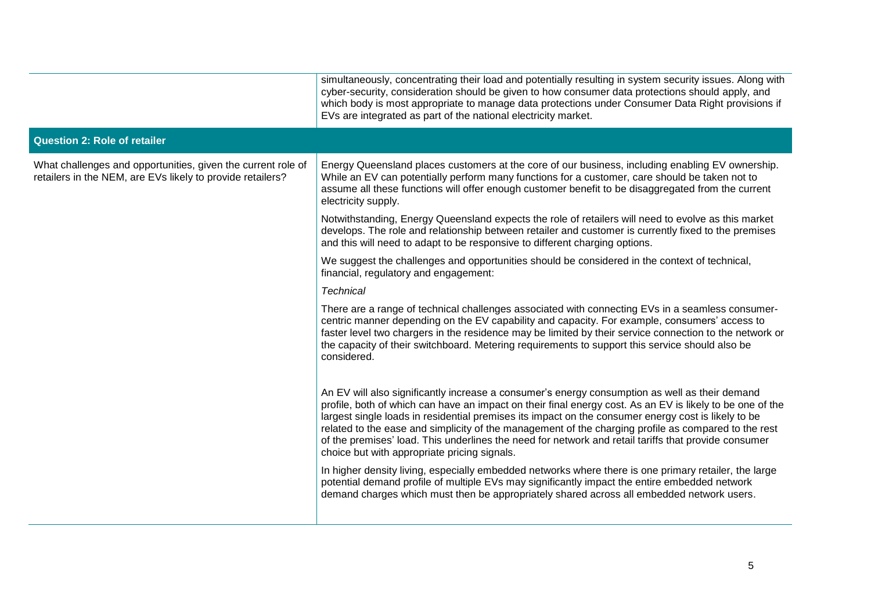|                                                                                                                            | simultaneously, concentrating their load and potentially resulting in system security issues. Along with<br>cyber-security, consideration should be given to how consumer data protections should apply, and<br>which body is most appropriate to manage data protections under Consumer Data Right provisions if<br>EVs are integrated as part of the national electricity market.                                                                                                                                                                                                |
|----------------------------------------------------------------------------------------------------------------------------|------------------------------------------------------------------------------------------------------------------------------------------------------------------------------------------------------------------------------------------------------------------------------------------------------------------------------------------------------------------------------------------------------------------------------------------------------------------------------------------------------------------------------------------------------------------------------------|
| <b>Question 2: Role of retailer</b>                                                                                        |                                                                                                                                                                                                                                                                                                                                                                                                                                                                                                                                                                                    |
| What challenges and opportunities, given the current role of<br>retailers in the NEM, are EVs likely to provide retailers? | Energy Queensland places customers at the core of our business, including enabling EV ownership.<br>While an EV can potentially perform many functions for a customer, care should be taken not to<br>assume all these functions will offer enough customer benefit to be disaggregated from the current<br>electricity supply.                                                                                                                                                                                                                                                    |
|                                                                                                                            | Notwithstanding, Energy Queensland expects the role of retailers will need to evolve as this market<br>develops. The role and relationship between retailer and customer is currently fixed to the premises<br>and this will need to adapt to be responsive to different charging options.                                                                                                                                                                                                                                                                                         |
|                                                                                                                            | We suggest the challenges and opportunities should be considered in the context of technical,<br>financial, regulatory and engagement:                                                                                                                                                                                                                                                                                                                                                                                                                                             |
|                                                                                                                            | <b>Technical</b>                                                                                                                                                                                                                                                                                                                                                                                                                                                                                                                                                                   |
|                                                                                                                            | There are a range of technical challenges associated with connecting EVs in a seamless consumer-<br>centric manner depending on the EV capability and capacity. For example, consumers' access to<br>faster level two chargers in the residence may be limited by their service connection to the network or<br>the capacity of their switchboard. Metering requirements to support this service should also be<br>considered.                                                                                                                                                     |
|                                                                                                                            | An EV will also significantly increase a consumer's energy consumption as well as their demand<br>profile, both of which can have an impact on their final energy cost. As an EV is likely to be one of the<br>largest single loads in residential premises its impact on the consumer energy cost is likely to be<br>related to the ease and simplicity of the management of the charging profile as compared to the rest<br>of the premises' load. This underlines the need for network and retail tariffs that provide consumer<br>choice but with appropriate pricing signals. |
|                                                                                                                            | In higher density living, especially embedded networks where there is one primary retailer, the large<br>potential demand profile of multiple EVs may significantly impact the entire embedded network<br>demand charges which must then be appropriately shared across all embedded network users.                                                                                                                                                                                                                                                                                |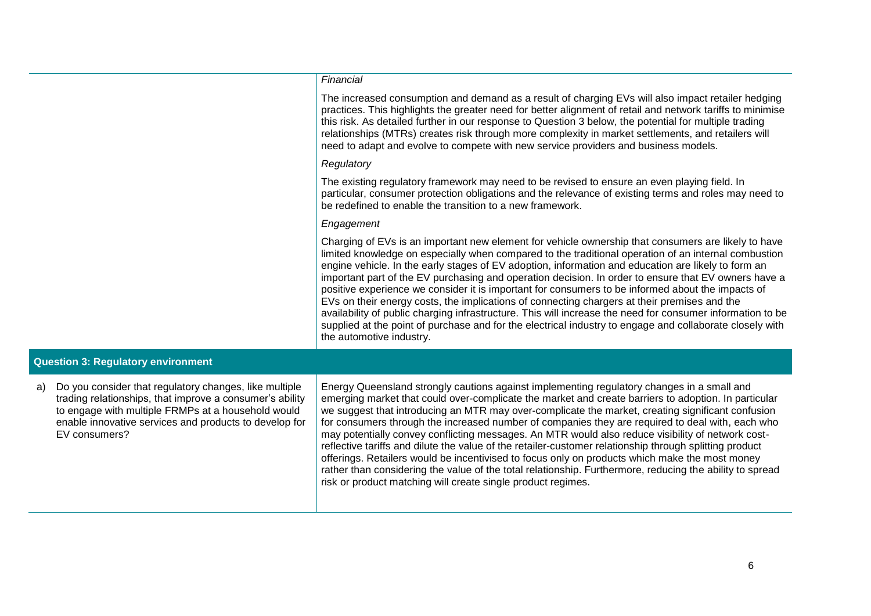#### *Financial*

The increased consumption and demand as a result of charging EVs will also impact retailer hedging practices. This highlights the greater need for better alignment of retail and network tariffs to minimise this risk. As detailed further in our response to Question 3 below, the potential for multiple trading relationships (MTRs) creates risk through more complexity in market settlements, and retailers will need to adapt and evolve to compete with new service providers and business models.

#### *Regulatory*

The existing regulatory framework may need to be revised to ensure an even playing field. In particular, consumer protection obligations and the relevance of existing terms and roles may need to be redefined to enable the transition to a new framework.

### *Engagement*

Charging of EVs is an important new element for vehicle ownership that consumers are likely to have limited knowledge on especially when compared to the traditional operation of an internal combustion engine vehicle. In the early stages of EV adoption, information and education are likely to form an important part of the EV purchasing and operation decision. In order to ensure that EV owners have a positive experience we consider it is important for consumers to be informed about the impacts of EVs on their energy costs, the implications of connecting chargers at their premises and the availability of public charging infrastructure. This will increase the need for consumer information to be supplied at the point of purchase and for the electrical industry to engage and collaborate closely with the automotive industry.

### **Question 3: Regulatory environment**

a) Do you consider that regulatory changes, like multiple trading relationships, that improve a consumer's ability to engage with multiple FRMPs at a household would enable innovative services and products to develop for EV consumers?

Energy Queensland strongly cautions against implementing regulatory changes in a small and emerging market that could over-complicate the market and create barriers to adoption. In particular we suggest that introducing an MTR may over-complicate the market, creating significant confusion for consumers through the increased number of companies they are required to deal with, each who may potentially convey conflicting messages. An MTR would also reduce visibility of network costreflective tariffs and dilute the value of the retailer-customer relationship through splitting product offerings. Retailers would be incentivised to focus only on products which make the most money rather than considering the value of the total relationship. Furthermore, reducing the ability to spread risk or product matching will create single product regimes.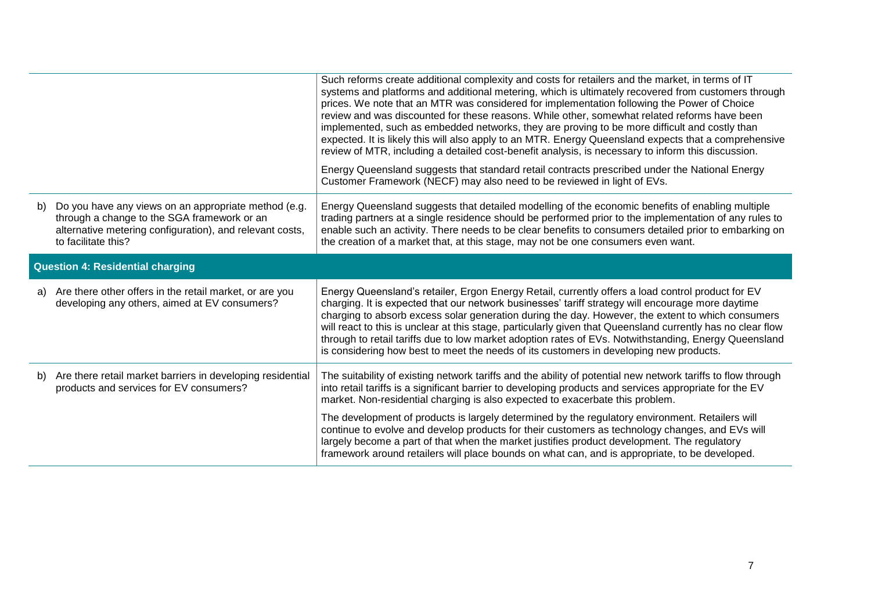|                                         |                                                                                                                                                                                        | Such reforms create additional complexity and costs for retailers and the market, in terms of IT<br>systems and platforms and additional metering, which is ultimately recovered from customers through<br>prices. We note that an MTR was considered for implementation following the Power of Choice<br>review and was discounted for these reasons. While other, somewhat related reforms have been<br>implemented, such as embedded networks, they are proving to be more difficult and costly than<br>expected. It is likely this will also apply to an MTR. Energy Queensland expects that a comprehensive<br>review of MTR, including a detailed cost-benefit analysis, is necessary to inform this discussion.<br>Energy Queensland suggests that standard retail contracts prescribed under the National Energy<br>Customer Framework (NECF) may also need to be reviewed in light of EVs. |
|-----------------------------------------|----------------------------------------------------------------------------------------------------------------------------------------------------------------------------------------|-----------------------------------------------------------------------------------------------------------------------------------------------------------------------------------------------------------------------------------------------------------------------------------------------------------------------------------------------------------------------------------------------------------------------------------------------------------------------------------------------------------------------------------------------------------------------------------------------------------------------------------------------------------------------------------------------------------------------------------------------------------------------------------------------------------------------------------------------------------------------------------------------------|
| b)                                      | Do you have any views on an appropriate method (e.g.<br>through a change to the SGA framework or an<br>alternative metering configuration), and relevant costs,<br>to facilitate this? | Energy Queensland suggests that detailed modelling of the economic benefits of enabling multiple<br>trading partners at a single residence should be performed prior to the implementation of any rules to<br>enable such an activity. There needs to be clear benefits to consumers detailed prior to embarking on<br>the creation of a market that, at this stage, may not be one consumers even want.                                                                                                                                                                                                                                                                                                                                                                                                                                                                                            |
| <b>Question 4: Residential charging</b> |                                                                                                                                                                                        |                                                                                                                                                                                                                                                                                                                                                                                                                                                                                                                                                                                                                                                                                                                                                                                                                                                                                                     |
|                                         | a) Are there other offers in the retail market, or are you                                                                                                                             |                                                                                                                                                                                                                                                                                                                                                                                                                                                                                                                                                                                                                                                                                                                                                                                                                                                                                                     |
|                                         | developing any others, aimed at EV consumers?                                                                                                                                          | Energy Queensland's retailer, Ergon Energy Retail, currently offers a load control product for EV<br>charging. It is expected that our network businesses' tariff strategy will encourage more daytime<br>charging to absorb excess solar generation during the day. However, the extent to which consumers<br>will react to this is unclear at this stage, particularly given that Queensland currently has no clear flow<br>through to retail tariffs due to low market adoption rates of EVs. Notwithstanding, Energy Queensland<br>is considering how best to meet the needs of its customers in developing new products.                                                                                                                                                                                                                                                                       |
|                                         | b) Are there retail market barriers in developing residential<br>products and services for EV consumers?                                                                               | The suitability of existing network tariffs and the ability of potential new network tariffs to flow through<br>into retail tariffs is a significant barrier to developing products and services appropriate for the EV<br>market. Non-residential charging is also expected to exacerbate this problem.                                                                                                                                                                                                                                                                                                                                                                                                                                                                                                                                                                                            |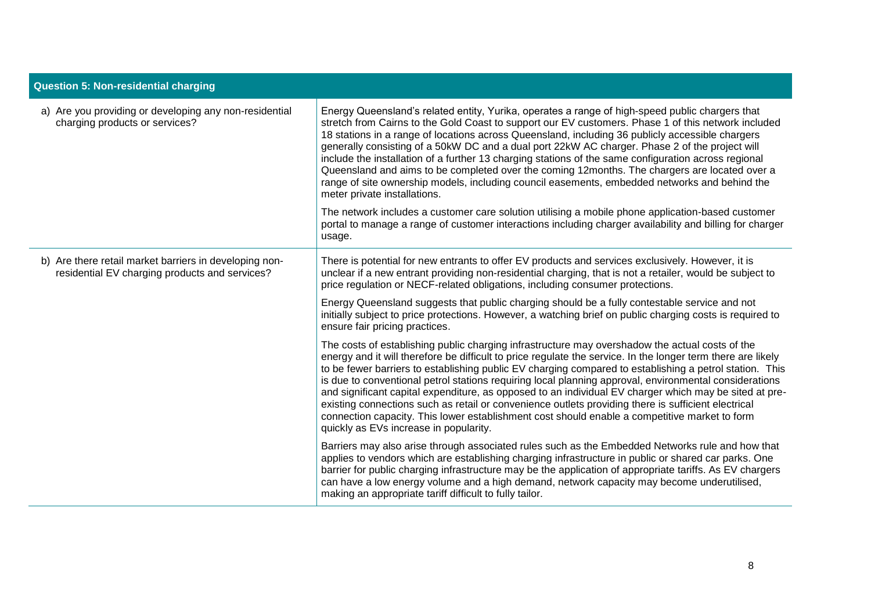| <b>Question 5: Non-residential charging</b>                                                              |                                                                                                                                                                                                                                                                                                                                                                                                                                                                                                                                                                                                                                                                                                                                                                                                  |  |
|----------------------------------------------------------------------------------------------------------|--------------------------------------------------------------------------------------------------------------------------------------------------------------------------------------------------------------------------------------------------------------------------------------------------------------------------------------------------------------------------------------------------------------------------------------------------------------------------------------------------------------------------------------------------------------------------------------------------------------------------------------------------------------------------------------------------------------------------------------------------------------------------------------------------|--|
| a) Are you providing or developing any non-residential<br>charging products or services?                 | Energy Queensland's related entity, Yurika, operates a range of high-speed public chargers that<br>stretch from Cairns to the Gold Coast to support our EV customers. Phase 1 of this network included<br>18 stations in a range of locations across Queensland, including 36 publicly accessible chargers<br>generally consisting of a 50kW DC and a dual port 22kW AC charger. Phase 2 of the project will<br>include the installation of a further 13 charging stations of the same configuration across regional<br>Queensland and aims to be completed over the coming 12months. The chargers are located over a<br>range of site ownership models, including council easements, embedded networks and behind the<br>meter private installations.                                           |  |
|                                                                                                          | The network includes a customer care solution utilising a mobile phone application-based customer<br>portal to manage a range of customer interactions including charger availability and billing for charger<br>usage.                                                                                                                                                                                                                                                                                                                                                                                                                                                                                                                                                                          |  |
| b) Are there retail market barriers in developing non-<br>residential EV charging products and services? | There is potential for new entrants to offer EV products and services exclusively. However, it is<br>unclear if a new entrant providing non-residential charging, that is not a retailer, would be subject to<br>price regulation or NECF-related obligations, including consumer protections.                                                                                                                                                                                                                                                                                                                                                                                                                                                                                                   |  |
|                                                                                                          | Energy Queensland suggests that public charging should be a fully contestable service and not<br>initially subject to price protections. However, a watching brief on public charging costs is required to<br>ensure fair pricing practices.                                                                                                                                                                                                                                                                                                                                                                                                                                                                                                                                                     |  |
|                                                                                                          | The costs of establishing public charging infrastructure may overshadow the actual costs of the<br>energy and it will therefore be difficult to price regulate the service. In the longer term there are likely<br>to be fewer barriers to establishing public EV charging compared to establishing a petrol station. This<br>is due to conventional petrol stations requiring local planning approval, environmental considerations<br>and significant capital expenditure, as opposed to an individual EV charger which may be sited at pre-<br>existing connections such as retail or convenience outlets providing there is sufficient electrical<br>connection capacity. This lower establishment cost should enable a competitive market to form<br>quickly as EVs increase in popularity. |  |
|                                                                                                          | Barriers may also arise through associated rules such as the Embedded Networks rule and how that<br>applies to vendors which are establishing charging infrastructure in public or shared car parks. One<br>barrier for public charging infrastructure may be the application of appropriate tariffs. As EV chargers<br>can have a low energy volume and a high demand, network capacity may become underutilised,<br>making an appropriate tariff difficult to fully tailor.                                                                                                                                                                                                                                                                                                                    |  |